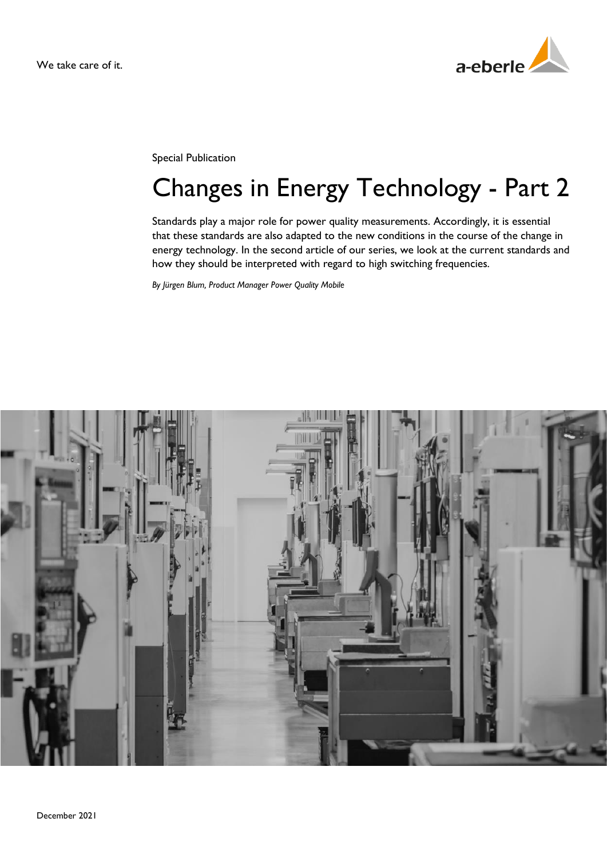

Special Publication

# Changes in Energy Technology - Part 2

Standards play a major role for power quality measurements. Accordingly, it is essential that these standards are also adapted to the new conditions in the course of the change in energy technology. In the second article of our series, we look at the current standards and how they should be interpreted with regard to high switching frequencies.

*By Jürgen Blum, Product Manager Power Quality Mobile*

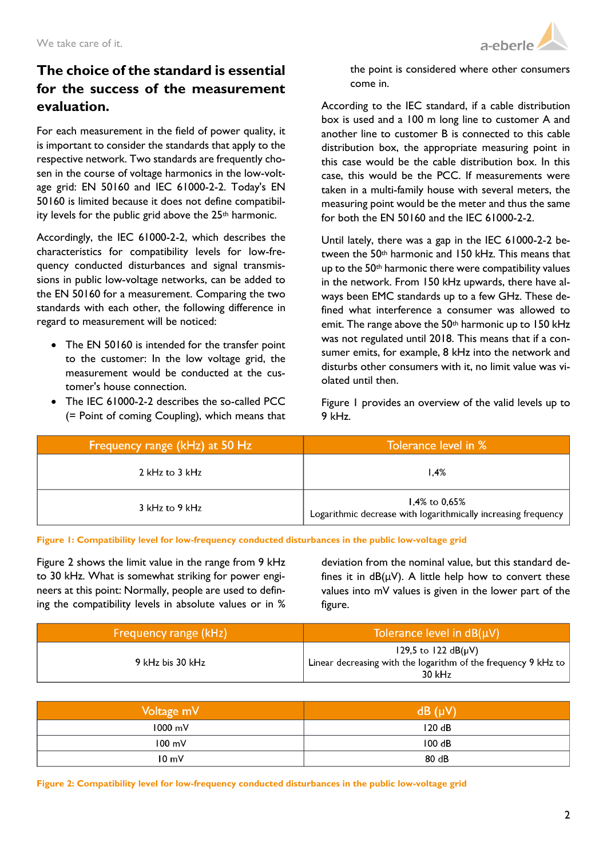

## **The choice of the standard is essential for the success of the measurement evaluation.**

For each measurement in the field of power quality, it is important to consider the standards that apply to the respective network. Two standards are frequently chosen in the course of voltage harmonics in the low-voltage grid: EN 50160 and IEC 61000-2-2. Today's EN 50160 is limited because it does not define compatibility levels for the public grid above the  $25<sup>th</sup>$  harmonic.

Accordingly, the IEC 61000-2-2, which describes the characteristics for compatibility levels for low-frequency conducted disturbances and signal transmissions in public low-voltage networks, can be added to the EN 50160 for a measurement. Comparing the two standards with each other, the following difference in regard to measurement will be noticed:

- The EN 50160 is intended for the transfer point to the customer: In the low voltage grid, the measurement would be conducted at the customer's house connection.
- The IEC 61000-2-2 describes the so-called PCC (= Point of coming Coupling), which means that

the point is considered where other consumers come in.

According to the IEC standard, if a cable distribution box is used and a 100 m long line to customer A and another line to customer B is connected to this cable distribution box, the appropriate measuring point in this case would be the cable distribution box. In this case, this would be the PCC. If measurements were taken in a multi-family house with several meters, the measuring point would be the meter and thus the same for both the EN 50160 and the IEC 61000-2-2.

Until lately, there was a gap in the IEC 61000-2-2 between the 50th harmonic and 150 kHz. This means that up to the 50th harmonic there were compatibility values in the network. From 150 kHz upwards, there have always been EMC standards up to a few GHz. These defined what interference a consumer was allowed to emit. The range above the  $50<sup>th</sup>$  harmonic up to 150 kHz was not regulated until 2018. This means that if a consumer emits, for example, 8 kHz into the network and disturbs other consumers with it, no limit value was violated until then.

[Figure 1](#page-1-0) provides an overview of the valid levels up to 9 kHz.

| Frequency range (kHz) at 50 Hz | Tolerance level in %                                                                        |
|--------------------------------|---------------------------------------------------------------------------------------------|
| 2 kHz to 3 kHz                 | 1.4%                                                                                        |
| 3 kHz to 9 kHz                 | 1,4% to 0,65%<br>Logarithmic decrease with logarithmically increasing frequency $\parallel$ |

<span id="page-1-0"></span>**Figure 1: Compatibility level for low-frequency conducted disturbances in the public low-voltage grid**

[Figure 2](#page-1-1) shows the limit value in the range from 9 kHz to 30 kHz. What is somewhat striking for power engineers at this point: Normally, people are used to defining the compatibility levels in absolute values or in %

deviation from the nominal value, but this standard defines it in  $dB(uV)$ . A little help how to convert these values into mV values is given in the lower part of the figure.

| Frequency range (kHz) | Tolerance level in $dB(uV)$                                                                            |
|-----------------------|--------------------------------------------------------------------------------------------------------|
| 9 kHz bis 30 kHz      | 129,5 to 122 $dB(\mu V)$<br>Linear decreasing with the logarithm of the frequency 9 kHz to<br>$30$ kHz |

| Voltage mV        | $dB(\mu V)$ |
|-------------------|-------------|
| $1000 \text{ mV}$ | 120dB       |
| $100 \text{ mV}$  | 100 dB      |
| $10 \text{ mV}$   | 80 dB       |

<span id="page-1-1"></span>**Figure 2: Compatibility level for low-frequency conducted disturbances in the public low-voltage grid**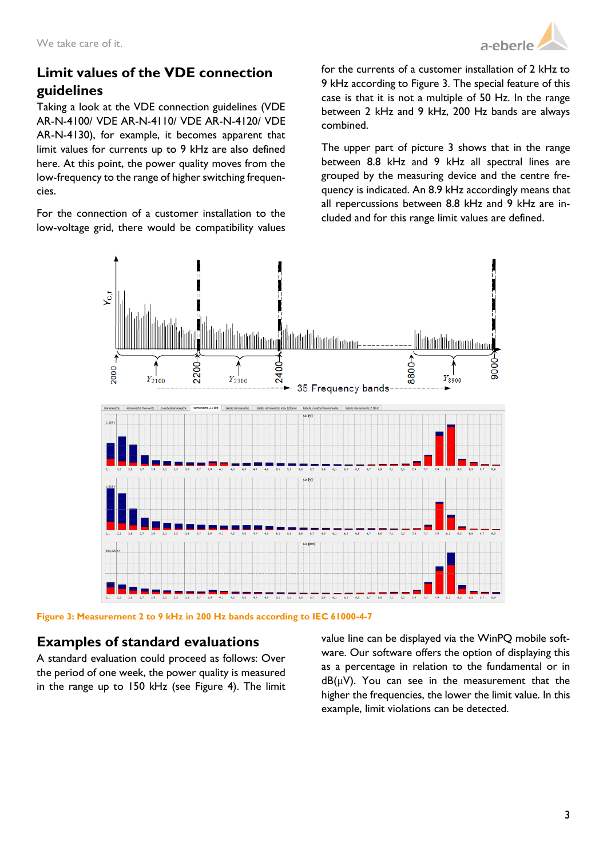

# **Limit values of the VDE connection guidelines**

Taking a look at the VDE connection guidelines (VDE AR-N-4100/ VDE AR-N-4110/ VDE AR-N-4120/ VDE AR-N-4130), for example, it becomes apparent that limit values for currents up to 9 kHz are also defined here. At this point, the power quality moves from the low-frequency to the range of higher switching frequencies.

For the connection of a customer installation to the low-voltage grid, there would be compatibility values

for the currents of a customer installation of 2 kHz to 9 kHz according to [Figure 3.](#page-2-0) The special feature of this case is that it is not a multiple of 50 Hz. In the range between 2 kHz and 9 kHz, 200 Hz bands are always combined.

The upper part of picture 3 shows that in the range between 8.8 kHz and 9 kHz all spectral lines are grouped by the measuring device and the centre frequency is indicated. An 8.9 kHz accordingly means that all repercussions between 8.8 kHz and 9 kHz are included and for this range limit values are defined.



<span id="page-2-0"></span>**Figure 3: Measurement 2 to 9 kHz in 200 Hz bands according to IEC 61000-4-7**

## **Examples of standard evaluations**

A standard evaluation could proceed as follows: Over the period of one week, the power quality is measured in the range up to 150 kHz (see [Figure 4\)](#page-3-0). The limit value line can be displayed via the WinPQ mobile software. Our software offers the option of displaying this as a percentage in relation to the fundamental or in  $dB(\mu V)$ . You can see in the measurement that the higher the frequencies, the lower the limit value. In this example, limit violations can be detected.